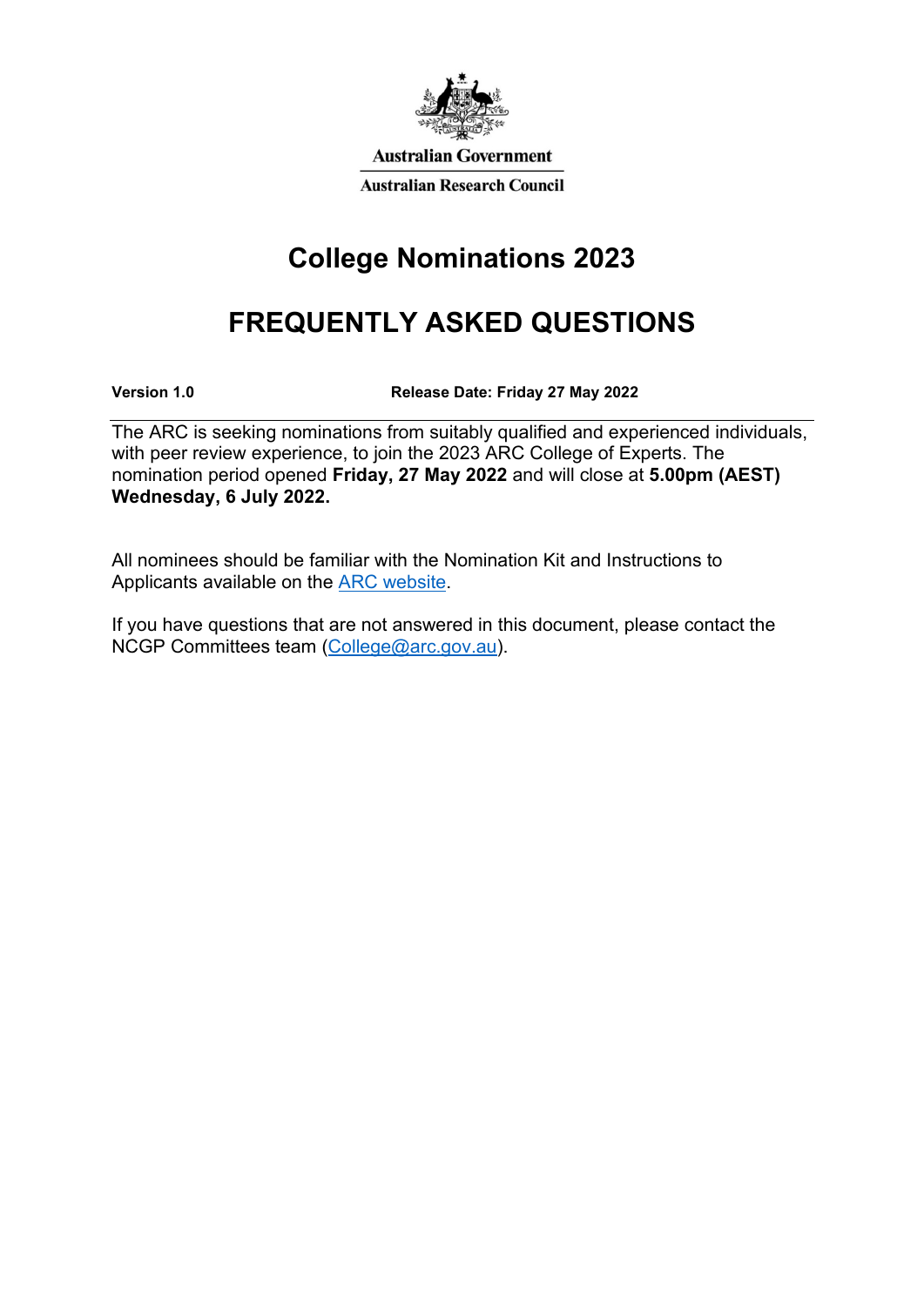

**Australian Government Australian Research Council** 

# **College Nominations 2023**

# **FREQUENTLY ASKED QUESTIONS**

**Version 1.0 Release Date: Friday 27 May 2022** 

The ARC is seeking nominations from suitably qualified and experienced individuals, with peer review experience, to join the 2023 ARC College of Experts. The nomination period opened **Friday, 27 May 2022** and will close at **5.00pm (AEST) Wednesday, 6 July 2022.** 

All nominees should be familiar with the Nomination Kit and Instructions to Applicants available on the [ARC website.](https://www.arc.gov.au/about-arc/arc-profile/arc-committees/arc-college-experts)

If you have questions that are not answered in this document, please contact the NCGP Committees team [\(College@arc.gov.au\)](mailto:College@arc.gov.au).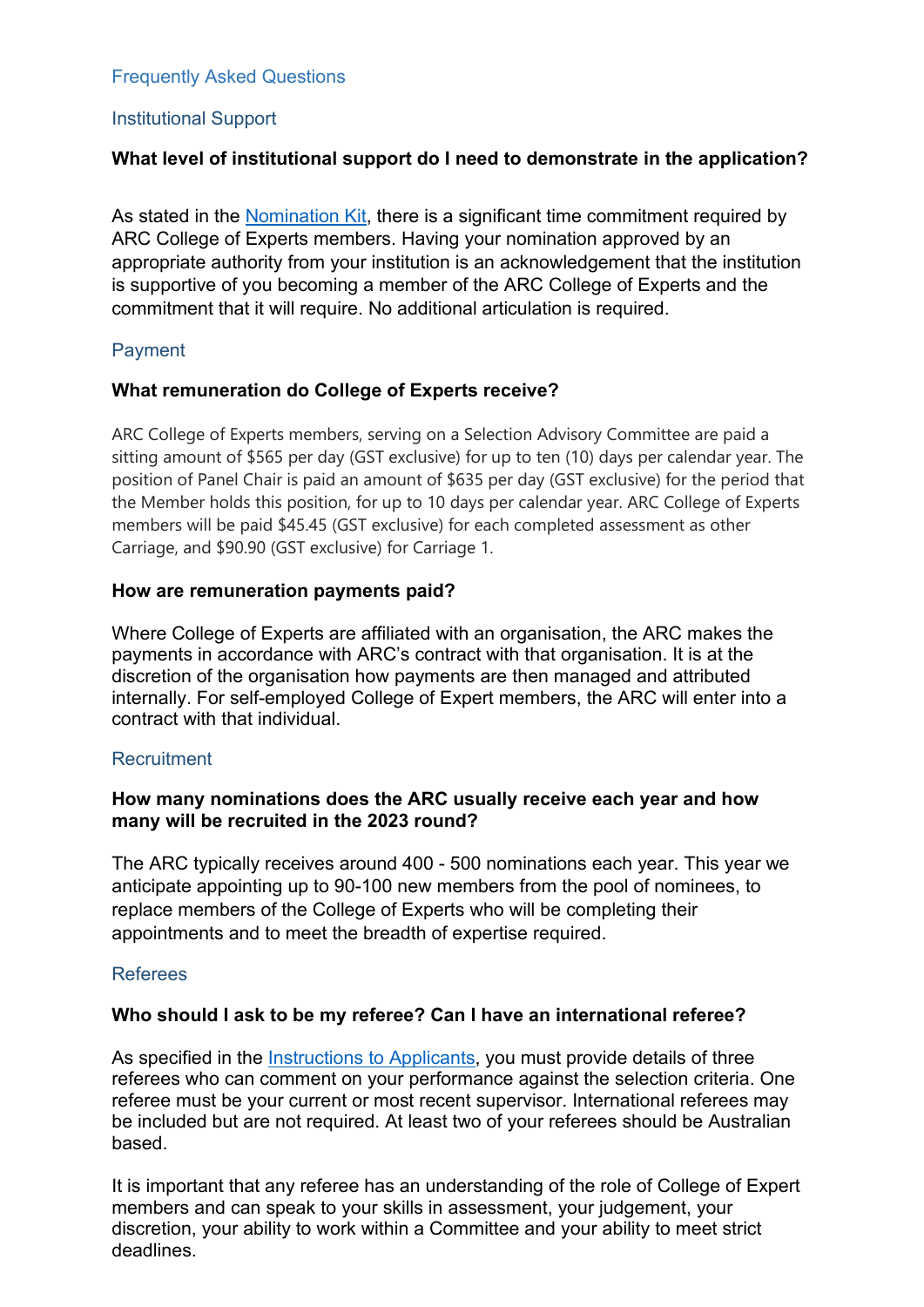#### Frequently Asked Questions

## Institutional Support

## **What level of institutional support do I need to demonstrate in the application?**

As stated in the [Nomination Kit,](https://australianresearchcouncil.sharepoint.com/:w:/r/sites/ProgramsBranch/Shared%20Documents/Committees%20Team/ARC%20College%20of%20Experts/2023/Web%20request%20documents/Attachment%20B_CN23_ARC_College%20of%20Experts_Nomination%20Kit.docx?d=w726416d2e2d64f929bb981c4f23e78e5&csf=1&web=1&e=HvBc92) there is a significant time commitment required by ARC College of Experts members. Having your nomination approved by an appropriate authority from your institution is an acknowledgement that the institution is supportive of you becoming a member of the ARC College of Experts and the commitment that it will require. No additional articulation is required.

#### Payment

#### **What remuneration do College of Experts receive?**

ARC College of Experts members, serving on a Selection Advisory Committee are paid a sitting amount of \$565 per day (GST exclusive) for up to ten (10) days per calendar year. The position of Panel Chair is paid an amount of \$635 per day (GST exclusive) for the period that the Member holds this position, for up to 10 days per calendar year. ARC College of Experts members will be paid \$45.45 (GST exclusive) for each completed assessment as other Carriage, and \$90.90 (GST exclusive) for Carriage 1.

#### **How are remuneration payments paid?**

Where College of Experts are affiliated with an organisation, the ARC makes the payments in accordance with ARC's contract with that organisation. It is at the discretion of the organisation how payments are then managed and attributed internally. For self-employed College of Expert members, the ARC will enter into a contract with that individual.

#### **Recruitment**

#### **How many nominations does the ARC usually receive each year and how many will be recruited in the 2023 round?**

The ARC typically receives around 400 - 500 nominations each year. This year we anticipate appointing up to 90-100 new members from the pool of nominees, to replace members of the College of Experts who will be completing their appointments and to meet the breadth of expertise required.

#### Referees

#### **Who should I ask to be my referee? Can I have an international referee?**

As specified in the [Instructions to Applicants,](https://australianresearchcouncil.sharepoint.com/:w:/r/sites/ProgramsBranch/Shared%20Documents/Committees%20Team/ARC%20College%20of%20Experts/2023/Web%20request%20documents/Attachment%20C_CN23_ARC%20College%20of%20Experts_Instructions%20To%20Applicants.docx?d=wa93cf3fbd69b4559bc47fd9c14704cf8&csf=1&web=1&e=gWm8OQ) you must provide details of three referees who can comment on your performance against the selection criteria. One referee must be your current or most recent supervisor. International referees may be included but are not required. At least two of your referees should be Australian based.

It is important that any referee has an understanding of the role of College of Expert members and can speak to your skills in assessment, your judgement, your discretion, your ability to work within a Committee and your ability to meet strict deadlines.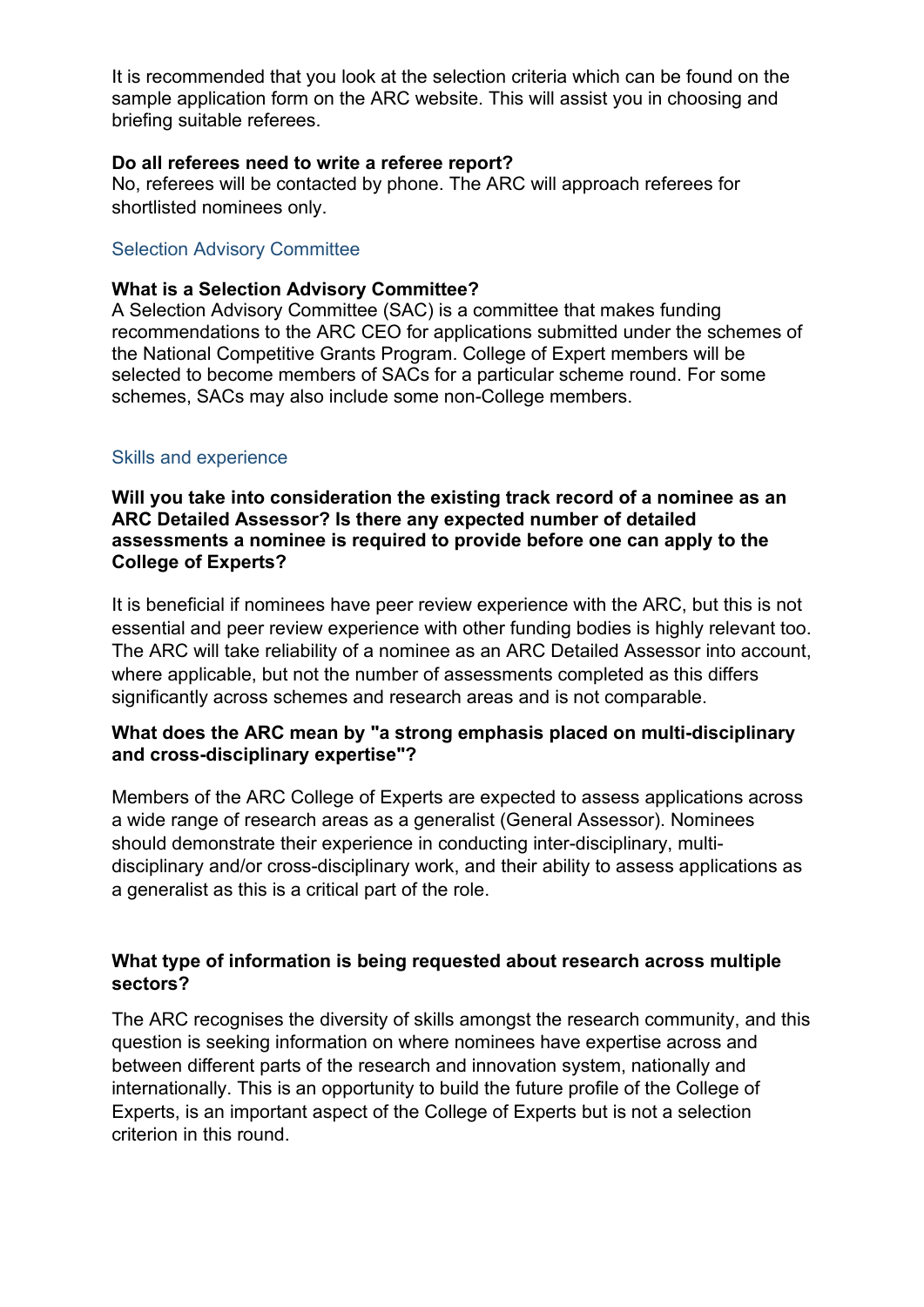It is recommended that you look at the selection criteria which can be found on the sample application form on the ARC website. This will assist you in choosing and briefing suitable referees.

#### **Do all referees need to write a referee report?**

No, referees will be contacted by phone. The ARC will approach referees for shortlisted nominees only.

#### Selection Advisory Committee

#### **What is a Selection Advisory Committee?**

A Selection Advisory Committee (SAC) is a committee that makes funding recommendations to the ARC CEO for applications submitted under the schemes of the National Competitive Grants Program. College of Expert members will be selected to become members of SACs for a particular scheme round. For some schemes, SACs may also include some non-College members.

#### Skills and experience

**Will you take into consideration the existing track record of a nominee as an ARC Detailed Assessor? Is there any expected number of detailed assessments a nominee is required to provide before one can apply to the College of Experts?**

It is beneficial if nominees have peer review experience with the ARC, but this is not essential and peer review experience with other funding bodies is highly relevant too. The ARC will take reliability of a nominee as an ARC Detailed Assessor into account, where applicable, but not the number of assessments completed as this differs significantly across schemes and research areas and is not comparable.

## **What does the ARC mean by "a strong emphasis placed on multi-disciplinary and cross-disciplinary expertise"?**

Members of the ARC College of Experts are expected to assess applications across a wide range of research areas as a generalist (General Assessor). Nominees should demonstrate their experience in conducting inter-disciplinary, multidisciplinary and/or cross-disciplinary work, and their ability to assess applications as a generalist as this is a critical part of the role.

## **What type of information is being requested about research across multiple sectors?**

The ARC recognises the diversity of skills amongst the research community, and this question is seeking information on where nominees have expertise across and between different parts of the research and innovation system, nationally and internationally. This is an opportunity to build the future profile of the College of Experts, is an important aspect of the College of Experts but is not a selection criterion in this round.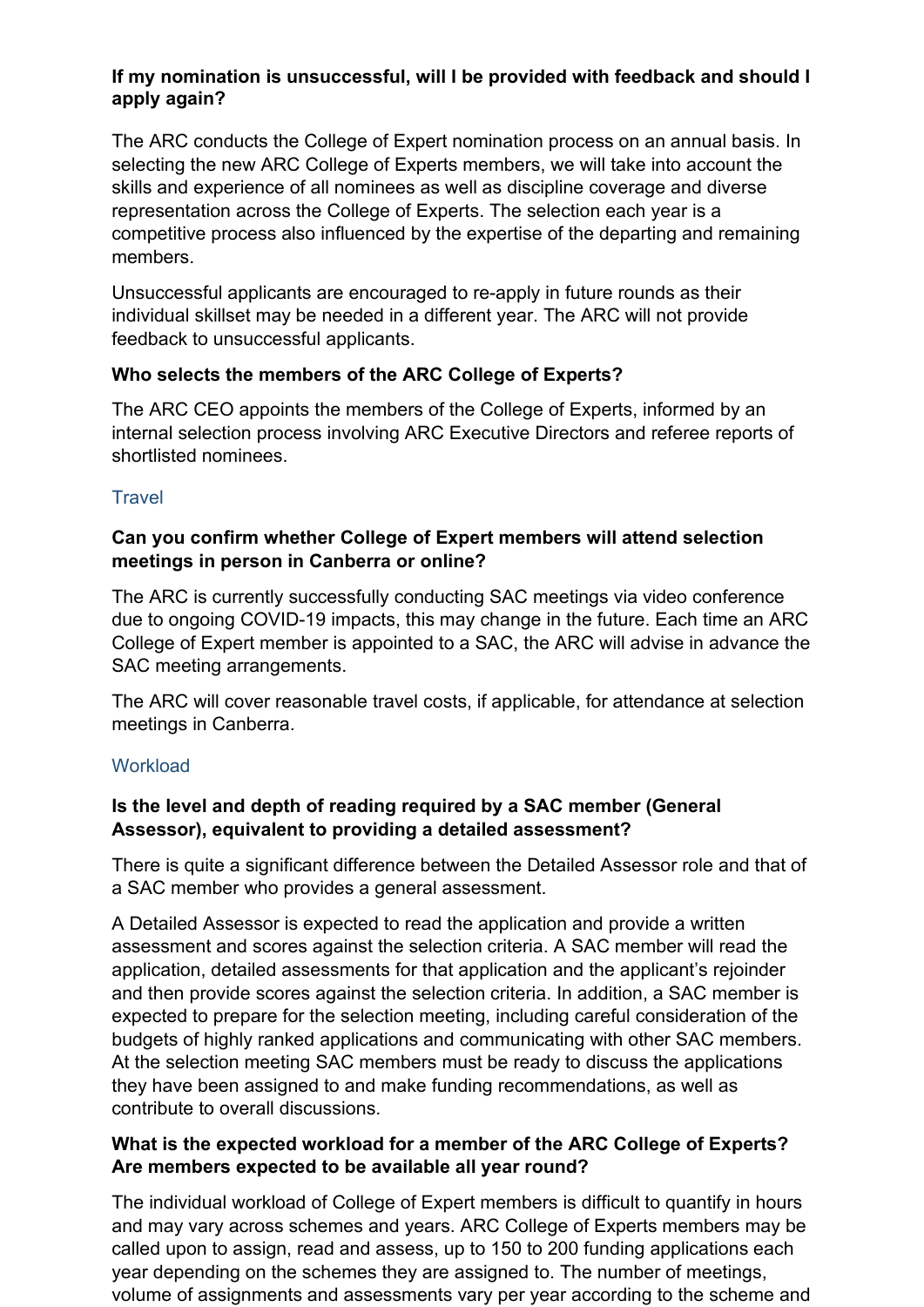## **If my nomination is unsuccessful, will I be provided with feedback and should I apply again?**

The ARC conducts the College of Expert nomination process on an annual basis. In selecting the new ARC College of Experts members, we will take into account the skills and experience of all nominees as well as discipline coverage and diverse representation across the College of Experts. The selection each year is a competitive process also influenced by the expertise of the departing and remaining members.

Unsuccessful applicants are encouraged to re-apply in future rounds as their individual skillset may be needed in a different year. The ARC will not provide feedback to unsuccessful applicants.

# **Who selects the members of the ARC College of Experts?**

The ARC CEO appoints the members of the College of Experts, informed by an internal selection process involving ARC Executive Directors and referee reports of shortlisted nominees.

# **Travel**

## **Can you confirm whether College of Expert members will attend selection meetings in person in Canberra or online?**

The ARC is currently successfully conducting SAC meetings via video conference due to ongoing COVID-19 impacts, this may change in the future. Each time an ARC College of Expert member is appointed to a SAC, the ARC will advise in advance the SAC meeting arrangements.

The ARC will cover reasonable travel costs, if applicable, for attendance at selection meetings in Canberra.

# **Workload**

# **Is the level and depth of reading required by a SAC member (General Assessor), equivalent to providing a detailed assessment?**

There is quite a significant difference between the Detailed Assessor role and that of a SAC member who provides a general assessment.

A Detailed Assessor is expected to read the application and provide a written assessment and scores against the selection criteria. A SAC member will read the application, detailed assessments for that application and the applicant's rejoinder and then provide scores against the selection criteria. In addition, a SAC member is expected to prepare for the selection meeting, including careful consideration of the budgets of highly ranked applications and communicating with other SAC members. At the selection meeting SAC members must be ready to discuss the applications they have been assigned to and make funding recommendations, as well as contribute to overall discussions.

## **What is the expected workload for a member of the ARC College of Experts? Are members expected to be available all year round?**

The individual workload of College of Expert members is difficult to quantify in hours and may vary across schemes and years. ARC College of Experts members may be called upon to assign, read and assess, up to 150 to 200 funding applications each year depending on the schemes they are assigned to. The number of meetings, volume of assignments and assessments vary per year according to the scheme and